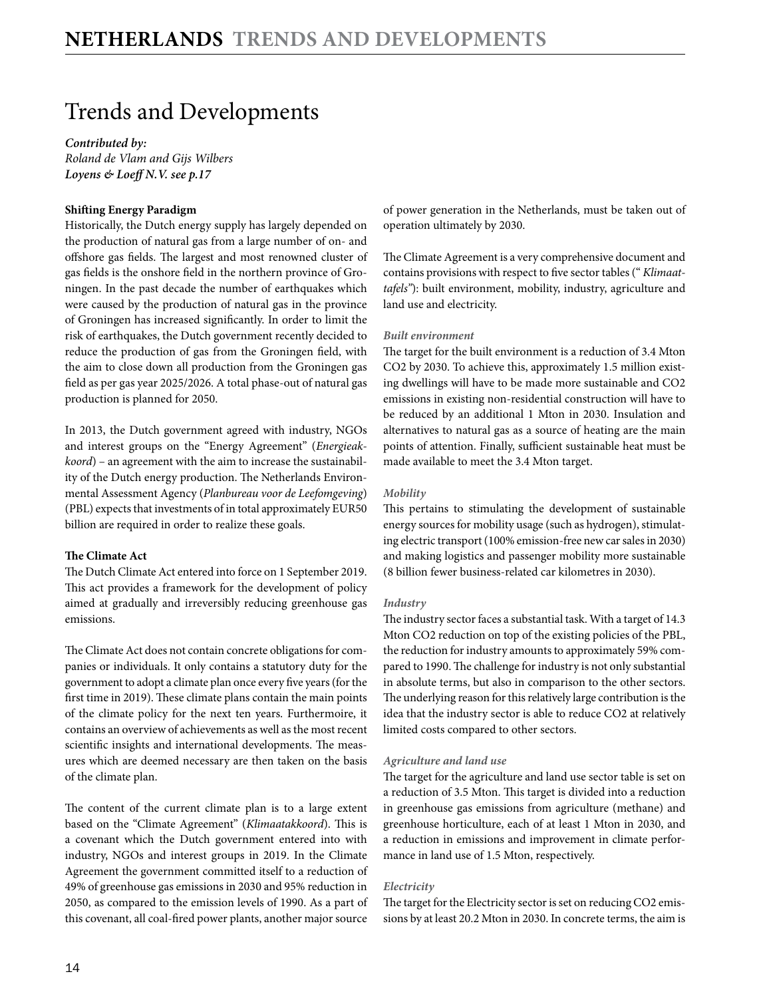# Trends and Developments

*Contributed by: Roland de Vlam and Gijs Wilbers Loyens & Loeff N.V[. see p.17](#page-3-0)*

## **Shifting Energy Paradigm**

Historically, the Dutch energy supply has largely depended on the production of natural gas from a large number of on- and offshore gas fields. The largest and most renowned cluster of gas fields is the onshore field in the northern province of Groningen. In the past decade the number of earthquakes which were caused by the production of natural gas in the province of Groningen has increased significantly. In order to limit the risk of earthquakes, the Dutch government recently decided to reduce the production of gas from the Groningen field, with the aim to close down all production from the Groningen gas field as per gas year 2025/2026. A total phase-out of natural gas production is planned for 2050.

In 2013, the Dutch government agreed with industry, NGOs and interest groups on the "Energy Agreement" (*Energieakkoord*) – an agreement with the aim to increase the sustainability of the Dutch energy production. The Netherlands Environmental Assessment Agency (*Planbureau voor de Leefomgeving*) (PBL) expects that investments of in total approximately EUR50 billion are required in order to realize these goals.

## **The Climate Act**

The Dutch Climate Act entered into force on 1 September 2019. This act provides a framework for the development of policy aimed at gradually and irreversibly reducing greenhouse gas emissions.

The Climate Act does not contain concrete obligations for companies or individuals. It only contains a statutory duty for the government to adopt a climate plan once every five years (for the first time in 2019). These climate plans contain the main points of the climate policy for the next ten years. Furthermoire, it contains an overview of achievements as well as the most recent scientific insights and international developments. The measures which are deemed necessary are then taken on the basis of the climate plan.

The content of the current climate plan is to a large extent based on the "Climate Agreement" (*Klimaatakkoord*). This is a covenant which the Dutch government entered into with industry, NGOs and interest groups in 2019. In the Climate Agreement the government committed itself to a reduction of 49% of greenhouse gas emissions in 2030 and 95% reduction in 2050, as compared to the emission levels of 1990. As a part of this covenant, all coal-fired power plants, another major source of power generation in the Netherlands, must be taken out of operation ultimately by 2030.

The Climate Agreement is a very comprehensive document and contains provisions with respect to five sector tables (" *Klimaattafels"*): built environment, mobility, industry, agriculture and land use and electricity.

#### *Built environment*

The target for the built environment is a reduction of 3.4 Mton CO2 by 2030. To achieve this, approximately 1.5 million existing dwellings will have to be made more sustainable and CO2 emissions in existing non-residential construction will have to be reduced by an additional 1 Mton in 2030. Insulation and alternatives to natural gas as a source of heating are the main points of attention. Finally, sufficient sustainable heat must be made available to meet the 3.4 Mton target.

## *Mobility*

This pertains to stimulating the development of sustainable energy sources for mobility usage (such as hydrogen), stimulating electric transport (100% emission-free new car sales in 2030) and making logistics and passenger mobility more sustainable (8 billion fewer business-related car kilometres in 2030).

#### *Industry*

The industry sector faces a substantial task. With a target of 14.3 Mton CO2 reduction on top of the existing policies of the PBL, the reduction for industry amounts to approximately 59% compared to 1990. The challenge for industry is not only substantial in absolute terms, but also in comparison to the other sectors. The underlying reason for this relatively large contribution is the idea that the industry sector is able to reduce CO2 at relatively limited costs compared to other sectors.

#### *Agriculture and land use*

The target for the agriculture and land use sector table is set on a reduction of 3.5 Mton. This target is divided into a reduction in greenhouse gas emissions from agriculture (methane) and greenhouse horticulture, each of at least 1 Mton in 2030, and a reduction in emissions and improvement in climate performance in land use of 1.5 Mton, respectively.

### *Electricity*

The target for the Electricity sector is set on reducing CO2 emissions by at least 20.2 Mton in 2030. In concrete terms, the aim is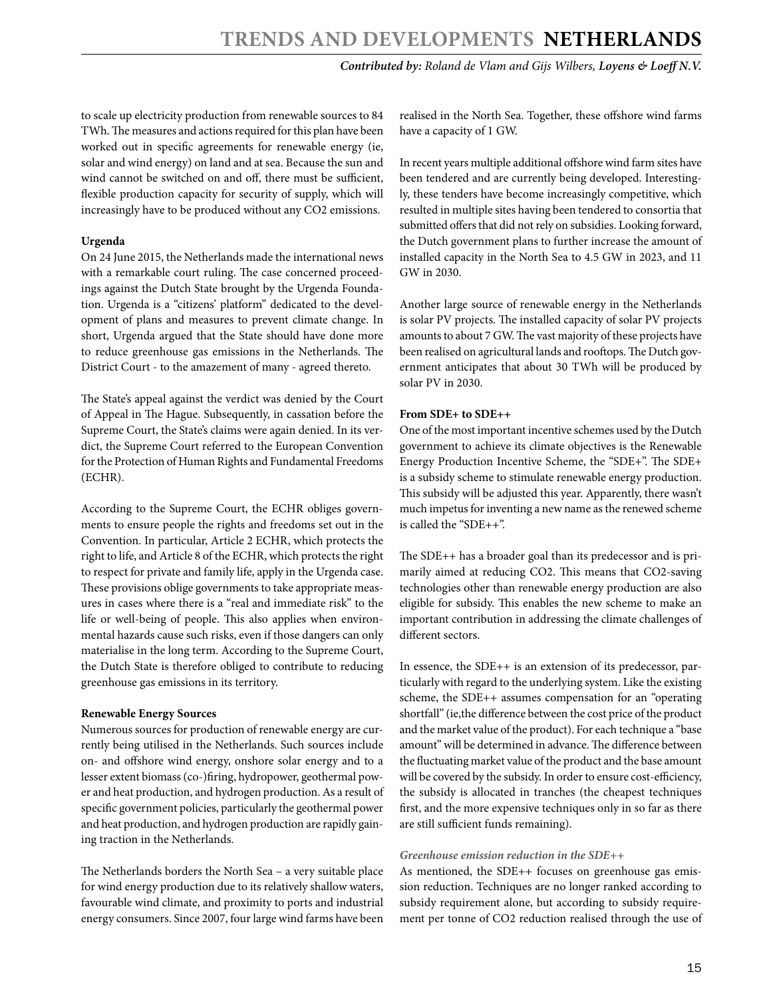*Contributed by: Roland de Vlam and Gijs Wilbers, Loyens & Loeff N.V.*

to scale up electricity production from renewable sources to 84 TWh. The measures and actions required for this plan have been worked out in specific agreements for renewable energy (ie, solar and wind energy) on land and at sea. Because the sun and wind cannot be switched on and off, there must be sufficient, flexible production capacity for security of supply, which will increasingly have to be produced without any CO2 emissions.

## **Urgenda**

On 24 June 2015, the Netherlands made the international news with a remarkable court ruling. The case concerned proceedings against the Dutch State brought by the Urgenda Foundation. Urgenda is a "citizens' platform" dedicated to the development of plans and measures to prevent climate change. In short, Urgenda argued that the State should have done more to reduce greenhouse gas emissions in the Netherlands. The District Court - to the amazement of many - agreed thereto.

The State's appeal against the verdict was denied by the Court of Appeal in The Hague. Subsequently, in cassation before the Supreme Court, the State's claims were again denied. In its verdict, the Supreme Court referred to the European Convention for the Protection of Human Rights and Fundamental Freedoms (ECHR).

According to the Supreme Court, the ECHR obliges governments to ensure people the rights and freedoms set out in the Convention. In particular, Article 2 ECHR, which protects the right to life, and Article 8 of the ECHR, which protects the right to respect for private and family life, apply in the Urgenda case. These provisions oblige governments to take appropriate measures in cases where there is a "real and immediate risk" to the life or well-being of people. This also applies when environmental hazards cause such risks, even if those dangers can only materialise in the long term. According to the Supreme Court, the Dutch State is therefore obliged to contribute to reducing greenhouse gas emissions in its territory.

## **Renewable Energy Sources**

Numerous sources for production of renewable energy are currently being utilised in the Netherlands. Such sources include on- and offshore wind energy, onshore solar energy and to a lesser extent biomass (co-)firing, hydropower, geothermal power and heat production, and hydrogen production. As a result of specific government policies, particularly the geothermal power and heat production, and hydrogen production are rapidly gaining traction in the Netherlands.

The Netherlands borders the North Sea – a very suitable place for wind energy production due to its relatively shallow waters, favourable wind climate, and proximity to ports and industrial energy consumers. Since 2007, four large wind farms have been realised in the North Sea. Together, these offshore wind farms have a capacity of 1 GW.

In recent years multiple additional offshore wind farm sites have been tendered and are currently being developed. Interestingly, these tenders have become increasingly competitive, which resulted in multiple sites having been tendered to consortia that submitted offers that did not rely on subsidies. Looking forward, the Dutch government plans to further increase the amount of installed capacity in the North Sea to 4.5 GW in 2023, and 11 GW in 2030.

Another large source of renewable energy in the Netherlands is solar PV projects. The installed capacity of solar PV projects amounts to about 7 GW. The vast majority of these projects have been realised on agricultural lands and rooftops. The Dutch government anticipates that about 30 TWh will be produced by solar PV in 2030.

## **From SDE+ to SDE++**

One of the most important incentive schemes used by the Dutch government to achieve its climate objectives is the Renewable Energy Production Incentive Scheme, the "SDE+". The SDE+ is a subsidy scheme to stimulate renewable energy production. This subsidy will be adjusted this year. Apparently, there wasn't much impetus for inventing a new name as the renewed scheme is called the "SDE++".

The SDE++ has a broader goal than its predecessor and is primarily aimed at reducing CO2. This means that CO2-saving technologies other than renewable energy production are also eligible for subsidy. This enables the new scheme to make an important contribution in addressing the climate challenges of different sectors.

In essence, the SDE++ is an extension of its predecessor, particularly with regard to the underlying system. Like the existing scheme, the SDE++ assumes compensation for an "operating shortfall" (ie,the difference between the cost price of the product and the market value of the product). For each technique a "base amount" will be determined in advance. The difference between the fluctuating market value of the product and the base amount will be covered by the subsidy. In order to ensure cost-efficiency, the subsidy is allocated in tranches (the cheapest techniques first, and the more expensive techniques only in so far as there are still sufficient funds remaining).

## *Greenhouse emission reduction in the SDE++*

As mentioned, the SDE++ focuses on greenhouse gas emission reduction. Techniques are no longer ranked according to subsidy requirement alone, but according to subsidy requirement per tonne of CO2 reduction realised through the use of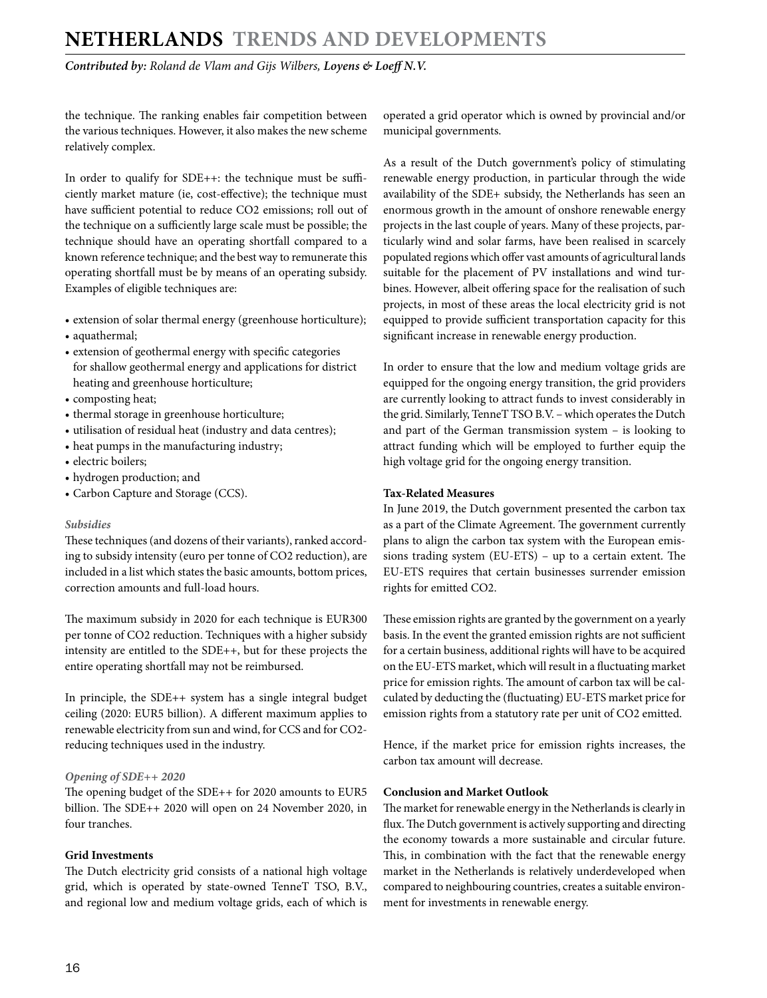## **NETHERLANDS Trends and Developments**

*Contributed by: Roland de Vlam and Gijs Wilbers, Loyens & Loeff N.V.*

the technique. The ranking enables fair competition between the various techniques. However, it also makes the new scheme relatively complex.

In order to qualify for SDE++: the technique must be sufficiently market mature (ie, cost-effective); the technique must have sufficient potential to reduce CO2 emissions; roll out of the technique on a sufficiently large scale must be possible; the technique should have an operating shortfall compared to a known reference technique; and the best way to remunerate this operating shortfall must be by means of an operating subsidy. Examples of eligible techniques are:

- extension of solar thermal energy (greenhouse horticulture);
- aquathermal;
- extension of geothermal energy with specific categories for shallow geothermal energy and applications for district heating and greenhouse horticulture;
- composting heat;
- thermal storage in greenhouse horticulture;
- utilisation of residual heat (industry and data centres);
- heat pumps in the manufacturing industry;
- electric boilers;
- hydrogen production; and
- Carbon Capture and Storage (CCS).

#### *Subsidies*

These techniques (and dozens of their variants), ranked according to subsidy intensity (euro per tonne of CO2 reduction), are included in a list which states the basic amounts, bottom prices, correction amounts and full-load hours.

The maximum subsidy in 2020 for each technique is EUR300 per tonne of CO2 reduction. Techniques with a higher subsidy intensity are entitled to the SDE++, but for these projects the entire operating shortfall may not be reimbursed.

In principle, the SDE++ system has a single integral budget ceiling (2020: EUR5 billion). A different maximum applies to renewable electricity from sun and wind, for CCS and for CO2 reducing techniques used in the industry.

## *Opening of SDE++ 2020*

The opening budget of the SDE++ for 2020 amounts to EUR5 billion. The SDE++ 2020 will open on 24 November 2020, in four tranches.

### **Grid Investments**

The Dutch electricity grid consists of a national high voltage grid, which is operated by state-owned TenneT TSO, B.V., and regional low and medium voltage grids, each of which is operated a grid operator which is owned by provincial and/or municipal governments.

As a result of the Dutch government's policy of stimulating renewable energy production, in particular through the wide availability of the SDE+ subsidy, the Netherlands has seen an enormous growth in the amount of onshore renewable energy projects in the last couple of years. Many of these projects, particularly wind and solar farms, have been realised in scarcely populated regions which offer vast amounts of agricultural lands suitable for the placement of PV installations and wind turbines. However, albeit offering space for the realisation of such projects, in most of these areas the local electricity grid is not equipped to provide sufficient transportation capacity for this significant increase in renewable energy production.

In order to ensure that the low and medium voltage grids are equipped for the ongoing energy transition, the grid providers are currently looking to attract funds to invest considerably in the grid. Similarly, TenneT TSO B.V. – which operates the Dutch and part of the German transmission system – is looking to attract funding which will be employed to further equip the high voltage grid for the ongoing energy transition.

## **Tax-Related Measures**

In June 2019, the Dutch government presented the carbon tax as a part of the Climate Agreement. The government currently plans to align the carbon tax system with the European emissions trading system (EU-ETS) – up to a certain extent. The EU-ETS requires that certain businesses surrender emission rights for emitted CO2.

These emission rights are granted by the government on a yearly basis. In the event the granted emission rights are not sufficient for a certain business, additional rights will have to be acquired on the EU-ETS market, which will result in a fluctuating market price for emission rights. The amount of carbon tax will be calculated by deducting the (fluctuating) EU-ETS market price for emission rights from a statutory rate per unit of CO2 emitted.

Hence, if the market price for emission rights increases, the carbon tax amount will decrease.

## **Conclusion and Market Outlook**

The market for renewable energy in the Netherlands is clearly in flux. The Dutch government is actively supporting and directing the economy towards a more sustainable and circular future. This, in combination with the fact that the renewable energy market in the Netherlands is relatively underdeveloped when compared to neighbouring countries, creates a suitable environment for investments in renewable energy.